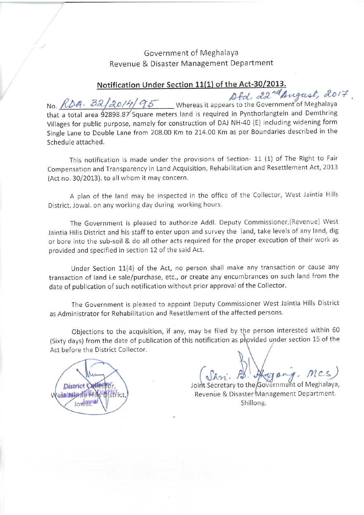# Government of Meghalaya Revenue & Disaster Management Department

### Notification Under Section 11(1) of the Act-30/2013.

No. RDA. 32/2014/95 Whereas it appears to the Government of Meghalaya<br>that a total area 92898.87 Square meters land is required in Pynthorlangtein and Demthring Villages for public purpose, namely for construction of DAJ NH-40 (E) including widening form Single Lane to Double Lane from 208.00 Km to 214.00 Km as per Boundaries described in the Schedule attached.

This notification is made under the provisions of Section- 11 (1) of The Right to Fair Compensation and Transparency in Land Acquisition, Rehabilitation and Resettlement Act, 2013 (Act no. 30/2013). to all whom it may concern.

A plan of the land may be inspected in the office of the Collector, West Jaintia Hills District, Jowai. on any working day during working hours.

The Government is pleased to authorize Addl. Deputy Commissioner, (Revenue) West Jaintia Hills District and his staff to enter upon and survey the land, take levels of any land, dig or bore into the sub-soil & do all other acts required for the proper execution of their work as provided and specified in section 12 of the said Act.

Under Section 11(4) of the Act, no person shall make any transaction or cause any transaction of land i.e sale/purchase, etc., or create any encumbrances on such land from the date of publication of such notification without prior approval of the Collector.

The Government is pleased to appoint Deputy Commissioner West Jaintia Hills District as Administrator for Rehabilitation and Resettlement of the affected persons.

Objections to the acquisition, if any, may be filed by the person interested within 60 (Sixty days) from the date of publication of this notification as provided under section 15 of the Act before the District Collector.

District Celler estilation 46M

Aggorg. MCS)

Joint Secretary to the Government of Meghalaya, Revenue & Disaster Management Department. Shillong.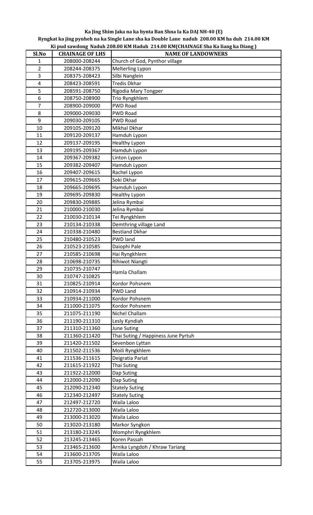## **Ka Jing Shim Jaka na ka bynta Ban Shna Ia Ka DAJ NH-40 (E)**

**Ryngkat ka jing pynheh na ka Single Lane sha ka Double Lane naduh 208.00 KM ha duh 214.00 KM Ki pud sawdong Naduh 208.00 KM Haduh 214.00 KM(CHAINAGE Sha Ka liang ka Diang )**

| Sl.No          | <b>CHAINAGE OF LHS</b> | <b>NAME OF LANDOWNERS</b>                     |
|----------------|------------------------|-----------------------------------------------|
| 1              | 208000-208244          | Church of God, Pynthor village                |
| $\overline{2}$ | 208244-208375          | Melterling Lypon                              |
| 3              | 208375-208423          | Silbi Nanglein                                |
| 4              | 208423-208591          | <b>Tredis Dkhar</b>                           |
| 5              | 208591-208750          | Rigodia Mary Tongper                          |
| 6              | 208750-208900          | Trio Ryngkhlem                                |
| $\overline{7}$ | 208900-209000          | <b>PWD Road</b>                               |
| 8              | 209000-209030          | <b>PWD Road</b>                               |
| 9              | 209030-209105          | <b>PWD Road</b>                               |
| 10             | 209105-209120          | Mikhal Dkhar                                  |
| 11             | 209120-209137          | Hamduh Lypon                                  |
| 12             | 209137-209195          | <b>Healthy Lypon</b>                          |
| 13             | 209195-209367          | Hamduh Lypon                                  |
| 14             | 209367-209382          | Linton Lypon                                  |
| 15             | 209382-209407          | Hamduh Lypon                                  |
| 16             | 209407-209615          | Rachel Lypon                                  |
| 17             | 209615-209665          | Soki Dkhar                                    |
| 18             | 209665-209695          | Hamduh Lypon                                  |
| 19             | 209695-209830          | <b>Healthy Lypon</b>                          |
| 20             | 209830-209885          | Jelina Rymbai                                 |
| 21             | 210000-210030          | Jelina Rymbai                                 |
| 22             | 210030-210134          | Tei Ryngkhlem                                 |
| 23             | 210134-210338          | Demthring village Land                        |
| 24             | 210338-210480          | <b>Bestland Dkhar</b>                         |
| 25             | 210480-210523          | PWD land                                      |
| 26             | 210523-210585          | Daiophi Pale                                  |
| 27             | 210585-210698          | Hai Ryngkhlem                                 |
| 28             | 210698-210735          | Rihiwot Niangti                               |
| 29             | 210735-210747          | Hamla Challam                                 |
| 30             | 210747-210825          |                                               |
| 31             | 210825-210914          | Kordor Pohsnem                                |
| 32             | 210914-210934          | <b>PWD Land</b>                               |
| 33             | 210934-211000          | Kordor Pohsnem                                |
| 34             | 211000-211075          | Kordor Pohsnem                                |
| 35             | 211075-211190          | Nichel Challam                                |
| 36             | 211190-211310          | Lesly Kyndiah                                 |
| 37             | 211310-211360          | <b>June Suting</b>                            |
| 38             | 211360-211420          | Thai Suting / Happiness June Pyrtuh           |
| 39             | 211420-211502          | Sevenbon Lyttan                               |
| 40             | 211502-211536          | Moili Ryngkhlem                               |
| 41             | 211536-211615          | Deigratia Pariat                              |
| 42             | 211615-211922          | Thai Suting                                   |
| 43             | 211922-212000          | Dap Suting                                    |
| 44             | 212000-212090          | Dap Suting                                    |
| 45             | 212090-212340          | <b>Stately Suting</b>                         |
| 46             | 212340-212497          | <b>Stately Suting</b>                         |
| 47             | 212497-212720          | Waila Laloo                                   |
| 48             | 212720-213000          | Waila Laloo                                   |
| 49             | 213000-213020          | Waila Laloo                                   |
| 50             | 213020-213180          | Markor Syngkon                                |
| 51             | 213180-213245          | Womphri Ryngkhlem                             |
| 52             | 213245-213465          | Koren Passah                                  |
| 53<br>54       | 213465-213600          | Arnika Lyngdoh / Khraw Tariang<br>Waila Laloo |
|                | 213600-213705          |                                               |
| 55             | 213705-213975          | Waila Laloo                                   |